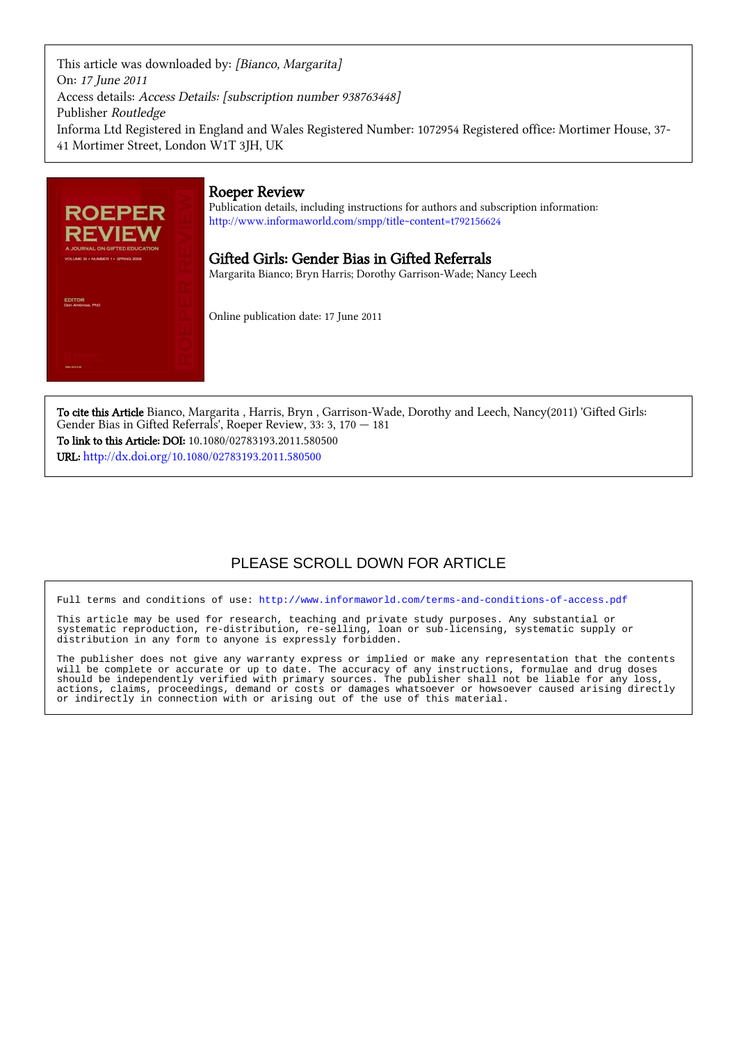This article was downloaded by: [Bianco, Margarita] On: 17 June 2011 Access details: Access Details: [subscription number 938763448] Publisher Routledge Informa Ltd Registered in England and Wales Registered Number: 1072954 Registered office: Mortimer House, 37- 41 Mortimer Street, London W1T 3JH, UK



To cite this Article Bianco, Margarita , Harris, Bryn , Garrison-Wade, Dorothy and Leech, Nancy(2011) 'Gifted Girls: Gender Bias in Gifted Referrals', Roeper Review, 33: 3, 170 — 181 To link to this Article: DOI: 10.1080/02783193.2011.580500

URL: <http://dx.doi.org/10.1080/02783193.2011.580500>

## PLEASE SCROLL DOWN FOR ARTICLE

Full terms and conditions of use:<http://www.informaworld.com/terms-and-conditions-of-access.pdf>

This article may be used for research, teaching and private study purposes. Any substantial or systematic reproduction, re-distribution, re-selling, loan or sub-licensing, systematic supply or distribution in any form to anyone is expressly forbidden.

The publisher does not give any warranty express or implied or make any representation that the contents will be complete or accurate or up to date. The accuracy of any instructions, formulae and drug doses should be independently verified with primary sources. The publisher shall not be liable for any loss, actions, claims, proceedings, demand or costs or damages whatsoever or howsoever caused arising directly or indirectly in connection with or arising out of the use of this material.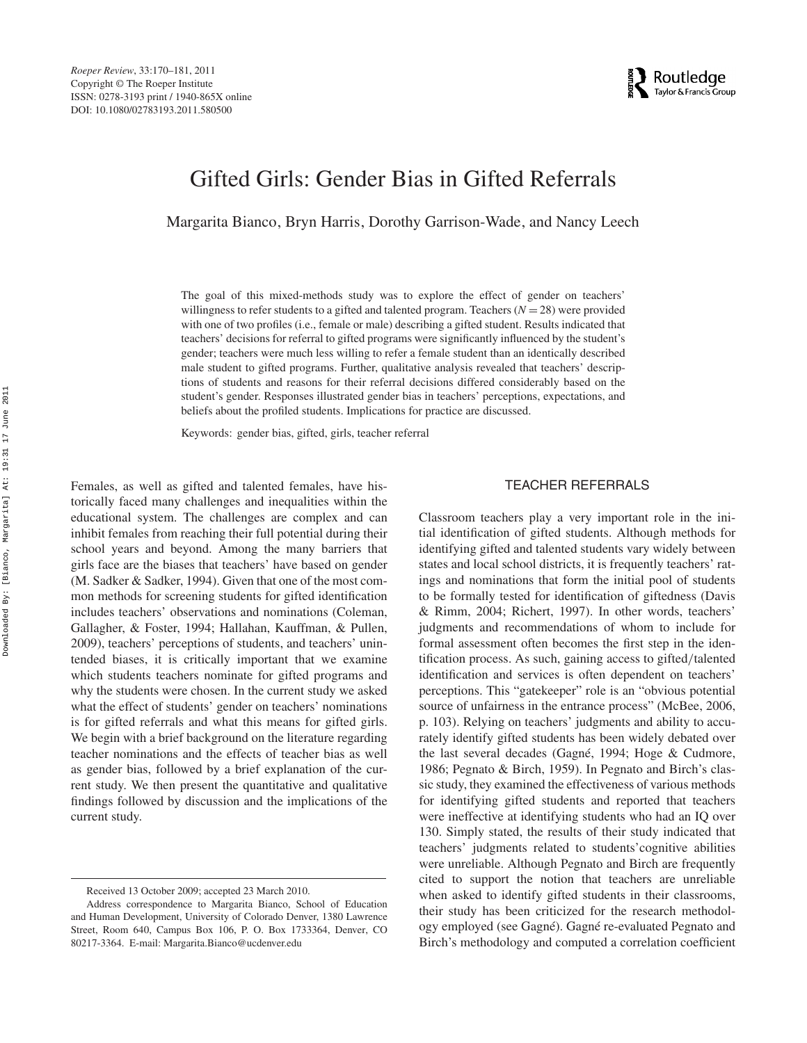

# Gifted Girls: Gender Bias in Gifted Referrals

Margarita Bianco, Bryn Harris, Dorothy Garrison-Wade, and Nancy Leech

The goal of this mixed-methods study was to explore the effect of gender on teachers' willingness to refer students to a gifted and talented program. Teachers (*N* = 28) were provided with one of two profiles (i.e., female or male) describing a gifted student. Results indicated that teachers' decisions for referral to gifted programs were significantly influenced by the student's gender; teachers were much less willing to refer a female student than an identically described male student to gifted programs. Further, qualitative analysis revealed that teachers' descriptions of students and reasons for their referral decisions differed considerably based on the student's gender. Responses illustrated gender bias in teachers' perceptions, expectations, and beliefs about the profiled students. Implications for practice are discussed.

Keywords: gender bias, gifted, girls, teacher referral

Females, as well as gifted and talented females, have historically faced many challenges and inequalities within the educational system. The challenges are complex and can inhibit females from reaching their full potential during their school years and beyond. Among the many barriers that girls face are the biases that teachers' have based on gender (M. Sadker & Sadker, 1994). Given that one of the most common methods for screening students for gifted identification includes teachers' observations and nominations (Coleman, Gallagher, & Foster, 1994; Hallahan, Kauffman, & Pullen, 2009), teachers' perceptions of students, and teachers' unintended biases, it is critically important that we examine which students teachers nominate for gifted programs and why the students were chosen. In the current study we asked what the effect of students' gender on teachers' nominations is for gifted referrals and what this means for gifted girls. We begin with a brief background on the literature regarding teacher nominations and the effects of teacher bias as well as gender bias, followed by a brief explanation of the current study. We then present the quantitative and qualitative findings followed by discussion and the implications of the current study.

## TEACHER REFERRALS

Classroom teachers play a very important role in the initial identification of gifted students. Although methods for identifying gifted and talented students vary widely between states and local school districts, it is frequently teachers' ratings and nominations that form the initial pool of students to be formally tested for identification of giftedness (Davis & Rimm, 2004; Richert, 1997). In other words, teachers' judgments and recommendations of whom to include for formal assessment often becomes the first step in the identification process. As such, gaining access to gifted*/*talented identification and services is often dependent on teachers' perceptions. This "gatekeeper" role is an "obvious potential source of unfairness in the entrance process" (McBee, 2006, p. 103). Relying on teachers' judgments and ability to accurately identify gifted students has been widely debated over the last several decades (Gagné, 1994; Hoge & Cudmore, 1986; Pegnato & Birch, 1959). In Pegnato and Birch's classic study, they examined the effectiveness of various methods for identifying gifted students and reported that teachers were ineffective at identifying students who had an IQ over 130. Simply stated, the results of their study indicated that teachers' judgments related to students'cognitive abilities were unreliable. Although Pegnato and Birch are frequently cited to support the notion that teachers are unreliable when asked to identify gifted students in their classrooms, their study has been criticized for the research methodology employed (see Gagné). Gagné re-evaluated Pegnato and Birch's methodology and computed a correlation coefficient

Received 13 October 2009; accepted 23 March 2010.

Address correspondence to Margarita Bianco, School of Education and Human Development, University of Colorado Denver, 1380 Lawrence Street, Room 640, Campus Box 106, P. O. Box 1733364, Denver, CO 80217-3364. E-mail: Margarita.Bianco@ucdenver.edu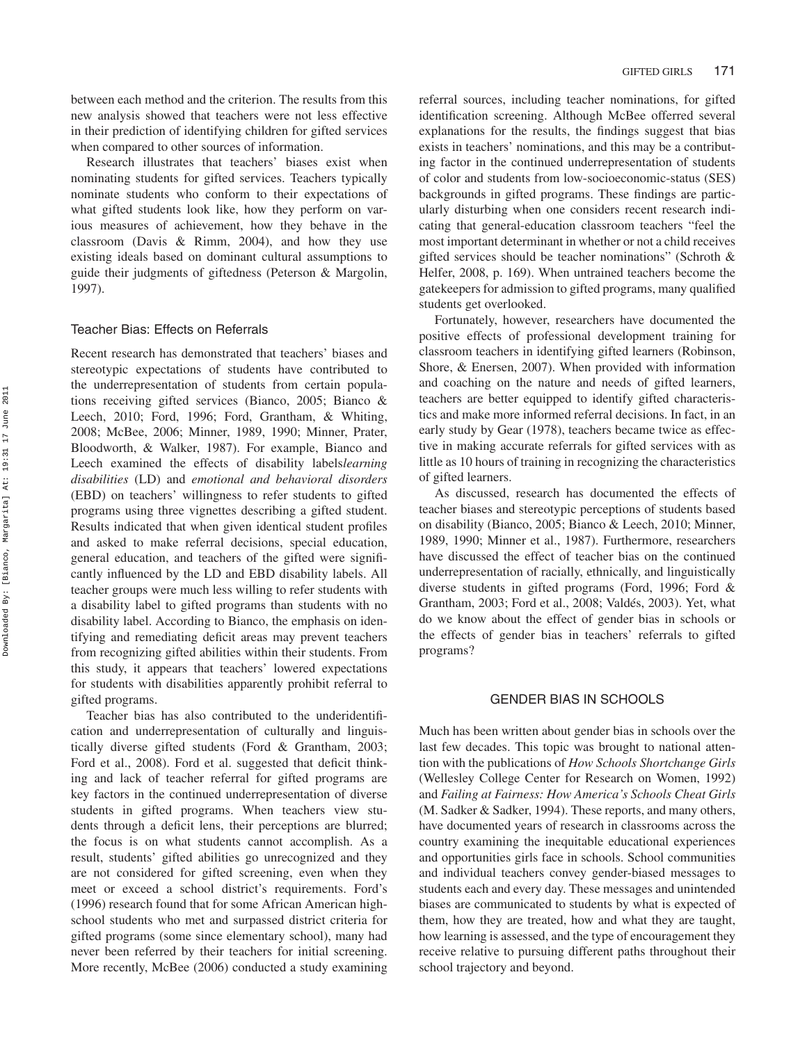between each method and the criterion. The results from this new analysis showed that teachers were not less effective in their prediction of identifying children for gifted services when compared to other sources of information.

Research illustrates that teachers' biases exist when nominating students for gifted services. Teachers typically nominate students who conform to their expectations of what gifted students look like, how they perform on various measures of achievement, how they behave in the classroom (Davis & Rimm, 2004), and how they use existing ideals based on dominant cultural assumptions to guide their judgments of giftedness (Peterson & Margolin, 1997).

#### Teacher Bias: Effects on Referrals

Recent research has demonstrated that teachers' biases and stereotypic expectations of students have contributed to the underrepresentation of students from certain populations receiving gifted services (Bianco, 2005; Bianco & Leech, 2010; Ford, 1996; Ford, Grantham, & Whiting, 2008; McBee, 2006; Minner, 1989, 1990; Minner, Prater, Bloodworth, & Walker, 1987). For example, Bianco and Leech examined the effects of disability labels*learning disabilities* (LD) and *emotional and behavioral disorders* (EBD) on teachers' willingness to refer students to gifted programs using three vignettes describing a gifted student. Results indicated that when given identical student profiles and asked to make referral decisions, special education, general education, and teachers of the gifted were significantly influenced by the LD and EBD disability labels. All teacher groups were much less willing to refer students with a disability label to gifted programs than students with no disability label. According to Bianco, the emphasis on identifying and remediating deficit areas may prevent teachers from recognizing gifted abilities within their students. From this study, it appears that teachers' lowered expectations for students with disabilities apparently prohibit referral to gifted programs.

Teacher bias has also contributed to the underidentification and underrepresentation of culturally and linguistically diverse gifted students (Ford & Grantham, 2003; Ford et al., 2008). Ford et al. suggested that deficit thinking and lack of teacher referral for gifted programs are key factors in the continued underrepresentation of diverse students in gifted programs. When teachers view students through a deficit lens, their perceptions are blurred; the focus is on what students cannot accomplish. As a result, students' gifted abilities go unrecognized and they are not considered for gifted screening, even when they meet or exceed a school district's requirements. Ford's (1996) research found that for some African American highschool students who met and surpassed district criteria for gifted programs (some since elementary school), many had never been referred by their teachers for initial screening. More recently, McBee (2006) conducted a study examining referral sources, including teacher nominations, for gifted identification screening. Although McBee offerred several explanations for the results, the findings suggest that bias exists in teachers' nominations, and this may be a contributing factor in the continued underrepresentation of students of color and students from low-socioeconomic-status (SES) backgrounds in gifted programs. These findings are particularly disturbing when one considers recent research indicating that general-education classroom teachers "feel the most important determinant in whether or not a child receives gifted services should be teacher nominations" (Schroth & Helfer, 2008, p. 169). When untrained teachers become the gatekeepers for admission to gifted programs, many qualified students get overlooked.

Fortunately, however, researchers have documented the positive effects of professional development training for classroom teachers in identifying gifted learners (Robinson, Shore, & Enersen, 2007). When provided with information and coaching on the nature and needs of gifted learners, teachers are better equipped to identify gifted characteristics and make more informed referral decisions. In fact, in an early study by Gear (1978), teachers became twice as effective in making accurate referrals for gifted services with as little as 10 hours of training in recognizing the characteristics of gifted learners.

As discussed, research has documented the effects of teacher biases and stereotypic perceptions of students based on disability (Bianco, 2005; Bianco & Leech, 2010; Minner, 1989, 1990; Minner et al., 1987). Furthermore, researchers have discussed the effect of teacher bias on the continued underrepresentation of racially, ethnically, and linguistically diverse students in gifted programs (Ford, 1996; Ford & Grantham, 2003; Ford et al., 2008; Valdés, 2003). Yet, what do we know about the effect of gender bias in schools or the effects of gender bias in teachers' referrals to gifted programs?

## GENDER BIAS IN SCHOOLS

Much has been written about gender bias in schools over the last few decades. This topic was brought to national attention with the publications of *How Schools Shortchange Girls* (Wellesley College Center for Research on Women, 1992) and *Failing at Fairness: How America's Schools Cheat Girls* (M. Sadker & Sadker, 1994). These reports, and many others, have documented years of research in classrooms across the country examining the inequitable educational experiences and opportunities girls face in schools. School communities and individual teachers convey gender-biased messages to students each and every day. These messages and unintended biases are communicated to students by what is expected of them, how they are treated, how and what they are taught, how learning is assessed, and the type of encouragement they receive relative to pursuing different paths throughout their school trajectory and beyond.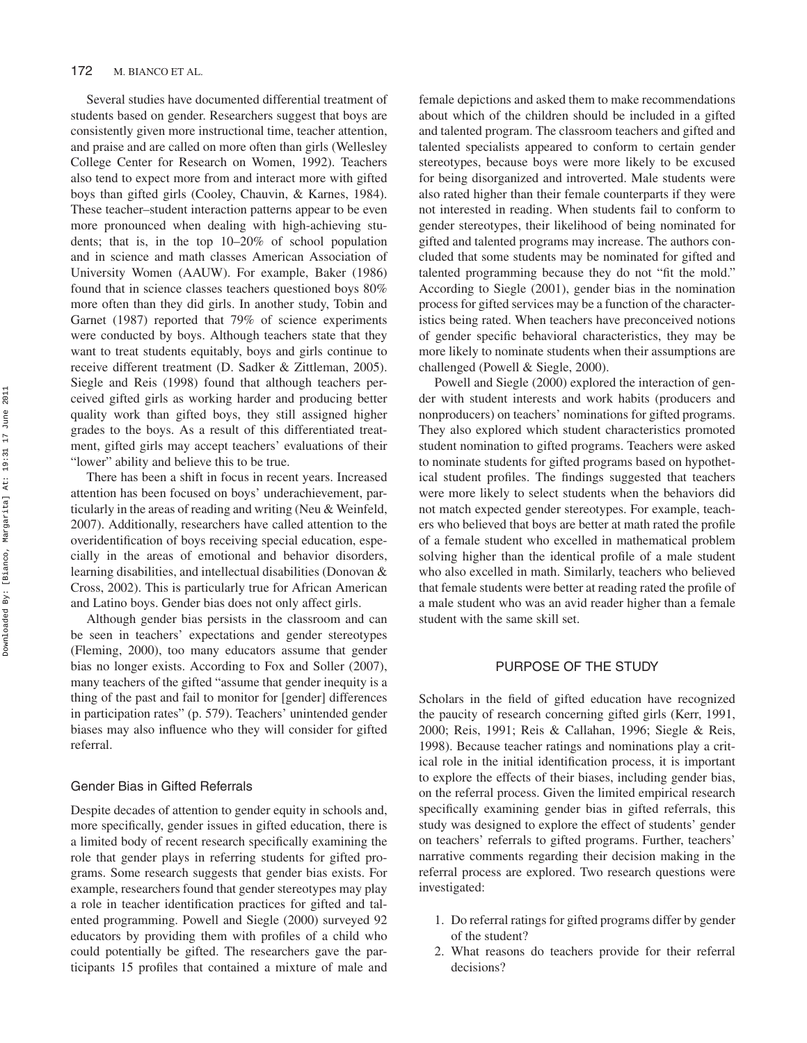Several studies have documented differential treatment of students based on gender. Researchers suggest that boys are consistently given more instructional time, teacher attention, and praise and are called on more often than girls (Wellesley College Center for Research on Women, 1992). Teachers also tend to expect more from and interact more with gifted boys than gifted girls (Cooley, Chauvin, & Karnes, 1984). These teacher–student interaction patterns appear to be even more pronounced when dealing with high-achieving students; that is, in the top 10–20% of school population and in science and math classes American Association of University Women (AAUW). For example, Baker (1986) found that in science classes teachers questioned boys 80% more often than they did girls. In another study, Tobin and Garnet (1987) reported that 79% of science experiments were conducted by boys. Although teachers state that they want to treat students equitably, boys and girls continue to receive different treatment (D. Sadker & Zittleman, 2005). Siegle and Reis (1998) found that although teachers perceived gifted girls as working harder and producing better quality work than gifted boys, they still assigned higher grades to the boys. As a result of this differentiated treatment, gifted girls may accept teachers' evaluations of their "lower" ability and believe this to be true.

There has been a shift in focus in recent years. Increased attention has been focused on boys' underachievement, particularly in the areas of reading and writing (Neu & Weinfeld, 2007). Additionally, researchers have called attention to the overidentification of boys receiving special education, especially in the areas of emotional and behavior disorders, learning disabilities, and intellectual disabilities (Donovan & Cross, 2002). This is particularly true for African American and Latino boys. Gender bias does not only affect girls.

Although gender bias persists in the classroom and can be seen in teachers' expectations and gender stereotypes (Fleming, 2000), too many educators assume that gender bias no longer exists. According to Fox and Soller (2007), many teachers of the gifted "assume that gender inequity is a thing of the past and fail to monitor for [gender] differences in participation rates" (p. 579). Teachers' unintended gender biases may also influence who they will consider for gifted referral.

## Gender Bias in Gifted Referrals

Despite decades of attention to gender equity in schools and, more specifically, gender issues in gifted education, there is a limited body of recent research specifically examining the role that gender plays in referring students for gifted programs. Some research suggests that gender bias exists. For example, researchers found that gender stereotypes may play a role in teacher identification practices for gifted and talented programming. Powell and Siegle (2000) surveyed 92 educators by providing them with profiles of a child who could potentially be gifted. The researchers gave the participants 15 profiles that contained a mixture of male and

female depictions and asked them to make recommendations about which of the children should be included in a gifted and talented program. The classroom teachers and gifted and talented specialists appeared to conform to certain gender stereotypes, because boys were more likely to be excused for being disorganized and introverted. Male students were also rated higher than their female counterparts if they were not interested in reading. When students fail to conform to gender stereotypes, their likelihood of being nominated for gifted and talented programs may increase. The authors concluded that some students may be nominated for gifted and talented programming because they do not "fit the mold." According to Siegle (2001), gender bias in the nomination process for gifted services may be a function of the characteristics being rated. When teachers have preconceived notions of gender specific behavioral characteristics, they may be more likely to nominate students when their assumptions are challenged (Powell & Siegle, 2000).

Powell and Siegle (2000) explored the interaction of gender with student interests and work habits (producers and nonproducers) on teachers' nominations for gifted programs. They also explored which student characteristics promoted student nomination to gifted programs. Teachers were asked to nominate students for gifted programs based on hypothetical student profiles. The findings suggested that teachers were more likely to select students when the behaviors did not match expected gender stereotypes. For example, teachers who believed that boys are better at math rated the profile of a female student who excelled in mathematical problem solving higher than the identical profile of a male student who also excelled in math. Similarly, teachers who believed that female students were better at reading rated the profile of a male student who was an avid reader higher than a female student with the same skill set.

## PURPOSE OF THE STUDY

Scholars in the field of gifted education have recognized the paucity of research concerning gifted girls (Kerr, 1991, 2000; Reis, 1991; Reis & Callahan, 1996; Siegle & Reis, 1998). Because teacher ratings and nominations play a critical role in the initial identification process, it is important to explore the effects of their biases, including gender bias, on the referral process. Given the limited empirical research specifically examining gender bias in gifted referrals, this study was designed to explore the effect of students' gender on teachers' referrals to gifted programs. Further, teachers' narrative comments regarding their decision making in the referral process are explored. Two research questions were investigated:

- 1. Do referral ratings for gifted programs differ by gender of the student?
- 2. What reasons do teachers provide for their referral decisions?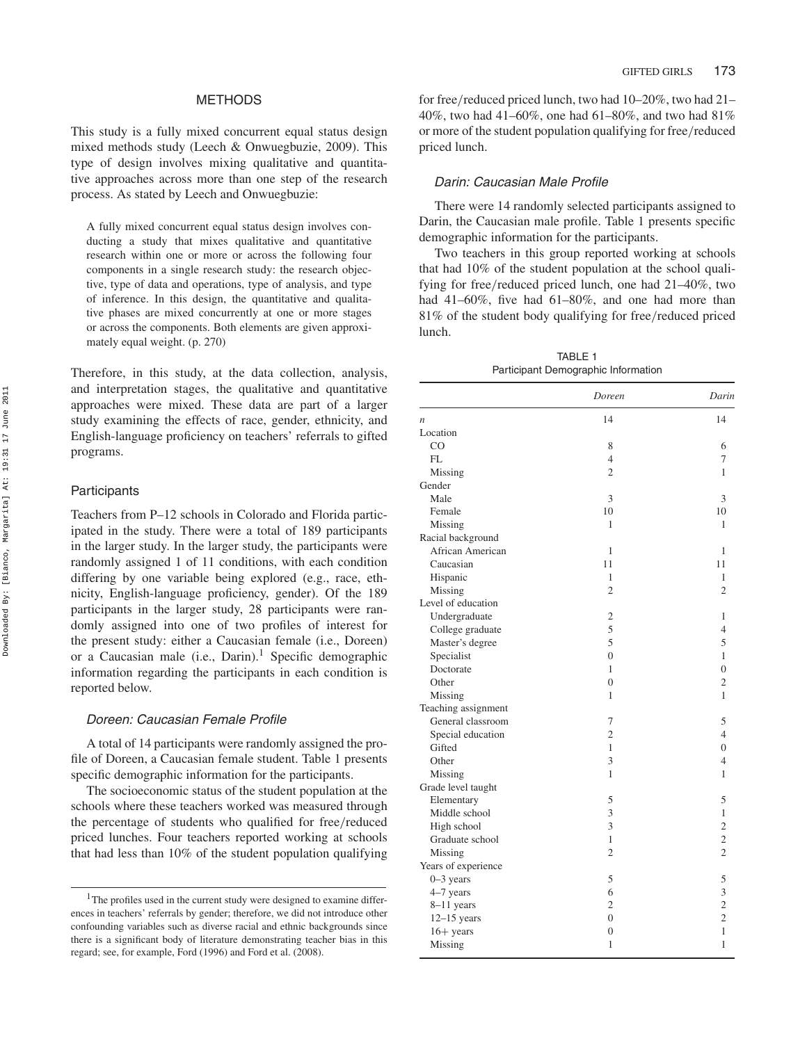#### METHODS

This study is a fully mixed concurrent equal status design mixed methods study (Leech & Onwuegbuzie, 2009). This type of design involves mixing qualitative and quantitative approaches across more than one step of the research process. As stated by Leech and Onwuegbuzie:

A fully mixed concurrent equal status design involves conducting a study that mixes qualitative and quantitative research within one or more or across the following four components in a single research study: the research objective, type of data and operations, type of analysis, and type of inference. In this design, the quantitative and qualitative phases are mixed concurrently at one or more stages or across the components. Both elements are given approximately equal weight. (p. 270)

Therefore, in this study, at the data collection, analysis, and interpretation stages, the qualitative and quantitative approaches were mixed. These data are part of a larger study examining the effects of race, gender, ethnicity, and English-language proficiency on teachers' referrals to gifted programs.

#### **Participants**

Teachers from P–12 schools in Colorado and Florida participated in the study. There were a total of 189 participants in the larger study. In the larger study, the participants were randomly assigned 1 of 11 conditions, with each condition differing by one variable being explored (e.g., race, ethnicity, English-language proficiency, gender). Of the 189 participants in the larger study, 28 participants were randomly assigned into one of two profiles of interest for the present study: either a Caucasian female (i.e., Doreen) or a Caucasian male (i.e., Darin).<sup>1</sup> Specific demographic information regarding the participants in each condition is reported below.

#### *Doreen: Caucasian Female Profile*

A total of 14 participants were randomly assigned the profile of Doreen, a Caucasian female student. Table 1 presents specific demographic information for the participants.

The socioeconomic status of the student population at the schools where these teachers worked was measured through the percentage of students who qualified for free*/*reduced priced lunches. Four teachers reported working at schools that had less than 10% of the student population qualifying for free*/*reduced priced lunch, two had 10–20%, two had 21– 40%, two had 41–60%, one had 61–80%, and two had 81% or more of the student population qualifying for free*/*reduced priced lunch.

## *Darin: Caucasian Male Profile*

There were 14 randomly selected participants assigned to Darin, the Caucasian male profile. Table 1 presents specific demographic information for the participants.

Two teachers in this group reported working at schools that had 10% of the student population at the school qualifying for free*/*reduced priced lunch, one had 21–40%, two had 41–60%, five had 61–80%, and one had more than 81% of the student body qualifying for free*/*reduced priced lunch.

TABLE 1 Participant Demographic Information

|                     | Doreen         | Darin          |
|---------------------|----------------|----------------|
| n                   | 14             | 14             |
| Location            |                |                |
| CO                  | 8              | 6              |
| FL                  | 4              | 7              |
| Missing             | $\overline{c}$ | 1              |
| Gender              |                |                |
| Male                | 3              | 3              |
| Female              | 10             | 10             |
| Missing             | 1              | 1              |
| Racial background   |                |                |
| African American    | 1              | 1              |
| Caucasian           | 11             | 11             |
| Hispanic            | 1              | 1              |
| Missing             | $\overline{2}$ | $\overline{2}$ |
| Level of education  |                |                |
| Undergraduate       | $\overline{c}$ | 1              |
| College graduate    | 5              | $\overline{4}$ |
| Master's degree     | 5              | 5              |
| Specialist          | $\overline{0}$ | $\mathbf{1}$   |
| Doctorate           | 1              | $\theta$       |
| Other               | $\overline{0}$ | $\overline{c}$ |
| Missing             | 1              | 1              |
| Teaching assignment |                |                |
| General classroom   | 7              | 5              |
| Special education   | $\overline{c}$ | $\overline{4}$ |
| Gifted              | 1              | $\overline{0}$ |
| Other               | 3              | $\overline{4}$ |
| Missing             | $\mathbf{1}$   | 1              |
| Grade level taught  |                |                |
| Elementary          | 5              | 5              |
| Middle school       | 3              | $\mathbf{1}$   |
| High school         | 3              | $\overline{2}$ |
| Graduate school     | 1              | $\overline{c}$ |
| Missing             | $\overline{2}$ | $\overline{c}$ |
| Years of experience |                |                |
| 0-3 years           | 5              | 5              |
| 4-7 years           | 6              | 3              |
| 8-11 years          | $\overline{c}$ | $\overline{c}$ |
| $12-15$ years       | $\mathbf{0}$   | $\overline{c}$ |
| $16 + years$        | $\mathbf{0}$   | 1              |
| Missing             | 1              | 1              |

<sup>&</sup>lt;sup>1</sup>The profiles used in the current study were designed to examine differences in teachers' referrals by gender; therefore, we did not introduce other confounding variables such as diverse racial and ethnic backgrounds since there is a significant body of literature demonstrating teacher bias in this regard; see, for example, Ford (1996) and Ford et al. (2008).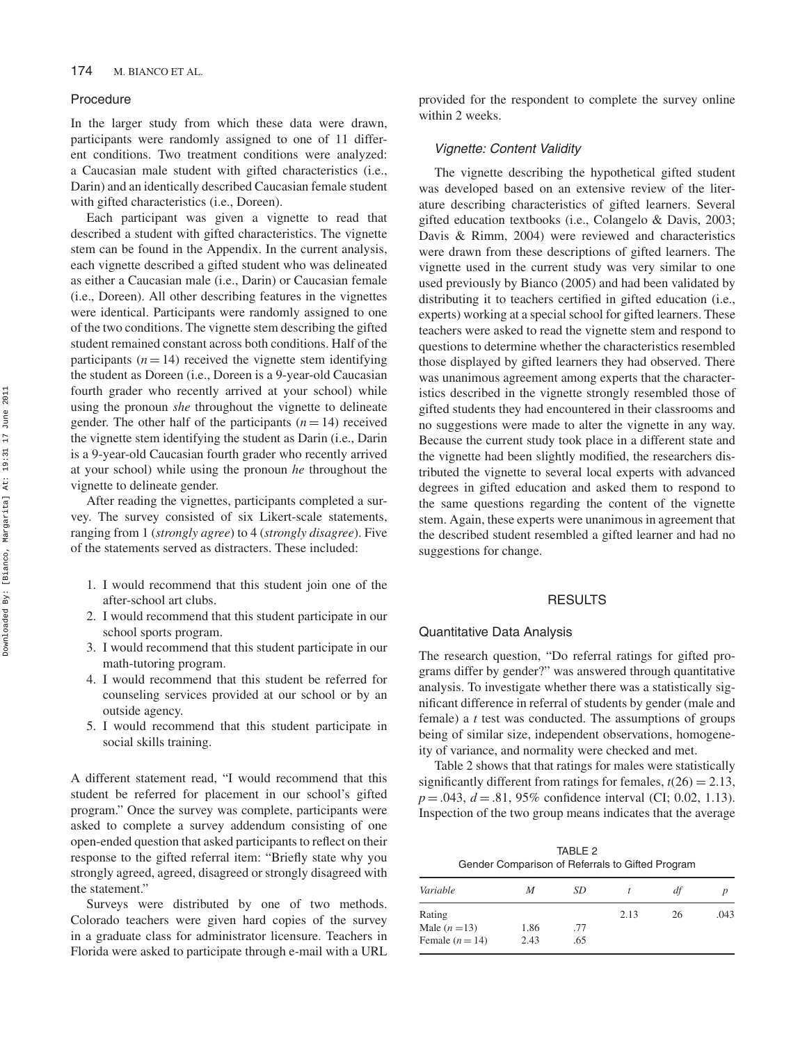## Procedure

In the larger study from which these data were drawn, participants were randomly assigned to one of 11 different conditions. Two treatment conditions were analyzed: a Caucasian male student with gifted characteristics (i.e., Darin) and an identically described Caucasian female student with gifted characteristics (i.e., Doreen).

Each participant was given a vignette to read that described a student with gifted characteristics. The vignette stem can be found in the Appendix. In the current analysis, each vignette described a gifted student who was delineated as either a Caucasian male (i.e., Darin) or Caucasian female (i.e., Doreen). All other describing features in the vignettes were identical. Participants were randomly assigned to one of the two conditions. The vignette stem describing the gifted student remained constant across both conditions. Half of the participants  $(n = 14)$  received the vignette stem identifying the student as Doreen (i.e., Doreen is a 9-year-old Caucasian fourth grader who recently arrived at your school) while using the pronoun *she* throughout the vignette to delineate gender. The other half of the participants  $(n = 14)$  received the vignette stem identifying the student as Darin (i.e., Darin is a 9-year-old Caucasian fourth grader who recently arrived at your school) while using the pronoun *he* throughout the vignette to delineate gender.

After reading the vignettes, participants completed a survey. The survey consisted of six Likert-scale statements, ranging from 1 (*strongly agree*) to 4 (*strongly disagree*). Five of the statements served as distracters. These included:

- 1. I would recommend that this student join one of the after-school art clubs.
- 2. I would recommend that this student participate in our school sports program.
- 3. I would recommend that this student participate in our math-tutoring program.
- 4. I would recommend that this student be referred for counseling services provided at our school or by an outside agency.
- 5. I would recommend that this student participate in social skills training.

A different statement read, "I would recommend that this student be referred for placement in our school's gifted program." Once the survey was complete, participants were asked to complete a survey addendum consisting of one open-ended question that asked participants to reflect on their response to the gifted referral item: "Briefly state why you strongly agreed, agreed, disagreed or strongly disagreed with the statement."

Surveys were distributed by one of two methods. Colorado teachers were given hard copies of the survey in a graduate class for administrator licensure. Teachers in Florida were asked to participate through e-mail with a URL provided for the respondent to complete the survey online within 2 weeks.

#### *Vignette: Content Validity*

The vignette describing the hypothetical gifted student was developed based on an extensive review of the literature describing characteristics of gifted learners. Several gifted education textbooks (i.e., Colangelo & Davis, 2003; Davis & Rimm, 2004) were reviewed and characteristics were drawn from these descriptions of gifted learners. The vignette used in the current study was very similar to one used previously by Bianco (2005) and had been validated by distributing it to teachers certified in gifted education (i.e., experts) working at a special school for gifted learners. These teachers were asked to read the vignette stem and respond to questions to determine whether the characteristics resembled those displayed by gifted learners they had observed. There was unanimous agreement among experts that the characteristics described in the vignette strongly resembled those of gifted students they had encountered in their classrooms and no suggestions were made to alter the vignette in any way. Because the current study took place in a different state and the vignette had been slightly modified, the researchers distributed the vignette to several local experts with advanced degrees in gifted education and asked them to respond to the same questions regarding the content of the vignette stem. Again, these experts were unanimous in agreement that the described student resembled a gifted learner and had no suggestions for change.

## RESULTS

## Quantitative Data Analysis

The research question, "Do referral ratings for gifted programs differ by gender?" was answered through quantitative analysis. To investigate whether there was a statistically significant difference in referral of students by gender (male and female) a *t* test was conducted. The assumptions of groups being of similar size, independent observations, homogeneity of variance, and normality were checked and met.

Table 2 shows that that ratings for males were statistically significantly different from ratings for females,  $t(26) = 2.13$ , *p* = .043, *d* = .81, 95% confidence interval (CI; 0.02, 1.13). Inspection of the two group means indicates that the average

| TABLE 2                                          |  |
|--------------------------------------------------|--|
| Gender Comparison of Referrals to Gifted Program |  |

| Variable        | M    | SD  |      | df |      |
|-----------------|------|-----|------|----|------|
| Rating          |      |     | 2.13 | 26 | .043 |
| Male $(n=13)$   | 1.86 | .77 |      |    |      |
| Female $(n=14)$ | 2.43 | .65 |      |    |      |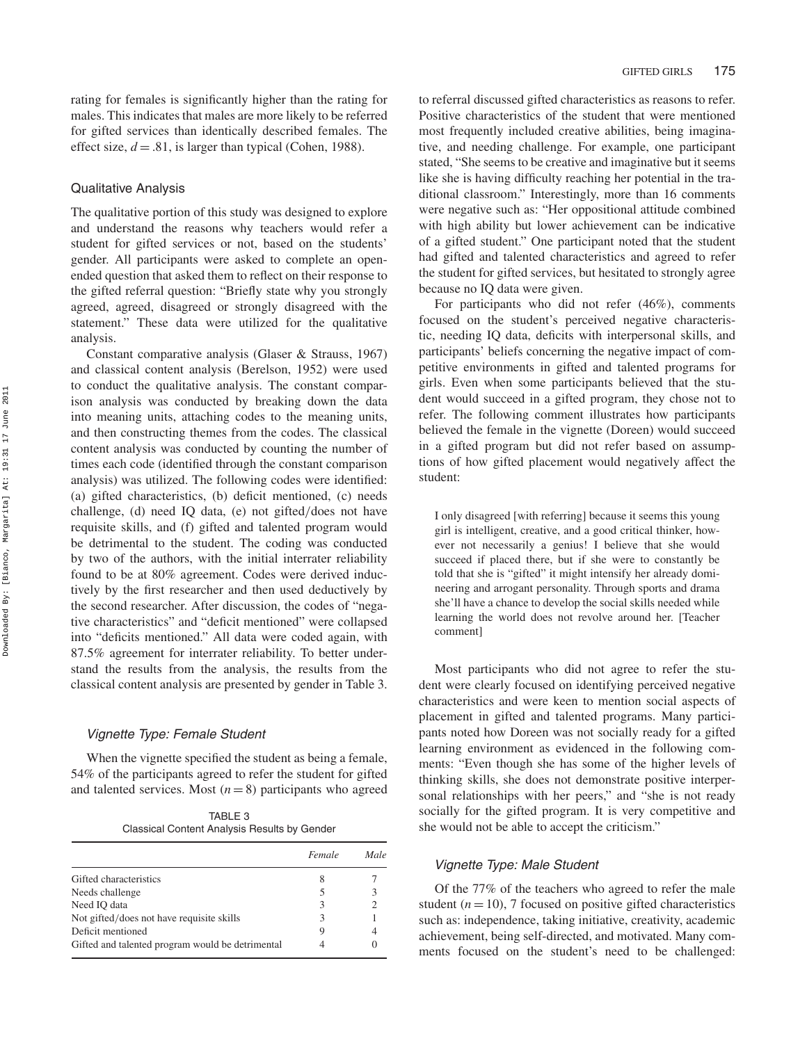rating for females is significantly higher than the rating for males. This indicates that males are more likely to be referred for gifted services than identically described females. The effect size,  $d = .81$ , is larger than typical (Cohen, 1988).

#### Qualitative Analysis

The qualitative portion of this study was designed to explore and understand the reasons why teachers would refer a student for gifted services or not, based on the students' gender. All participants were asked to complete an openended question that asked them to reflect on their response to the gifted referral question: "Briefly state why you strongly agreed, agreed, disagreed or strongly disagreed with the statement." These data were utilized for the qualitative analysis.

Constant comparative analysis (Glaser & Strauss, 1967) and classical content analysis (Berelson, 1952) were used to conduct the qualitative analysis. The constant comparison analysis was conducted by breaking down the data into meaning units, attaching codes to the meaning units, and then constructing themes from the codes. The classical content analysis was conducted by counting the number of times each code (identified through the constant comparison analysis) was utilized. The following codes were identified: (a) gifted characteristics, (b) deficit mentioned, (c) needs challenge, (d) need IQ data, (e) not gifted*/*does not have requisite skills, and (f) gifted and talented program would be detrimental to the student. The coding was conducted by two of the authors, with the initial interrater reliability found to be at 80% agreement. Codes were derived inductively by the first researcher and then used deductively by the second researcher. After discussion, the codes of "negative characteristics" and "deficit mentioned" were collapsed into "deficits mentioned." All data were coded again, with 87.5% agreement for interrater reliability. To better understand the results from the analysis, the results from the classical content analysis are presented by gender in Table 3.

## *Vignette Type: Female Student*

When the vignette specified the student as being a female, 54% of the participants agreed to refer the student for gifted and talented services. Most  $(n = 8)$  participants who agreed

TABLE 3 Classical Content Analysis Results by Gender

|                                                  | Female | Male |
|--------------------------------------------------|--------|------|
| Gifted characteristics                           | 8      |      |
| Needs challenge                                  |        |      |
| Need IO data                                     |        |      |
| Not gifted/does not have requisite skills        |        |      |
| Deficit mentioned                                |        |      |
| Gifted and talented program would be detrimental |        |      |

to referral discussed gifted characteristics as reasons to refer. Positive characteristics of the student that were mentioned most frequently included creative abilities, being imaginative, and needing challenge. For example, one participant stated, "She seems to be creative and imaginative but it seems like she is having difficulty reaching her potential in the traditional classroom." Interestingly, more than 16 comments were negative such as: "Her oppositional attitude combined with high ability but lower achievement can be indicative of a gifted student." One participant noted that the student had gifted and talented characteristics and agreed to refer the student for gifted services, but hesitated to strongly agree because no IQ data were given.

For participants who did not refer (46%), comments focused on the student's perceived negative characteristic, needing IQ data, deficits with interpersonal skills, and participants' beliefs concerning the negative impact of competitive environments in gifted and talented programs for girls. Even when some participants believed that the student would succeed in a gifted program, they chose not to refer. The following comment illustrates how participants believed the female in the vignette (Doreen) would succeed in a gifted program but did not refer based on assumptions of how gifted placement would negatively affect the student:

I only disagreed [with referring] because it seems this young girl is intelligent, creative, and a good critical thinker, however not necessarily a genius! I believe that she would succeed if placed there, but if she were to constantly be told that she is "gifted" it might intensify her already domineering and arrogant personality. Through sports and drama she'll have a chance to develop the social skills needed while learning the world does not revolve around her. [Teacher comment]

Most participants who did not agree to refer the student were clearly focused on identifying perceived negative characteristics and were keen to mention social aspects of placement in gifted and talented programs. Many participants noted how Doreen was not socially ready for a gifted learning environment as evidenced in the following comments: "Even though she has some of the higher levels of thinking skills, she does not demonstrate positive interpersonal relationships with her peers," and "she is not ready socially for the gifted program. It is very competitive and she would not be able to accept the criticism."

#### *Vignette Type: Male Student*

Of the 77% of the teachers who agreed to refer the male student  $(n = 10)$ , 7 focused on positive gifted characteristics such as: independence, taking initiative, creativity, academic achievement, being self-directed, and motivated. Many comments focused on the student's need to be challenged: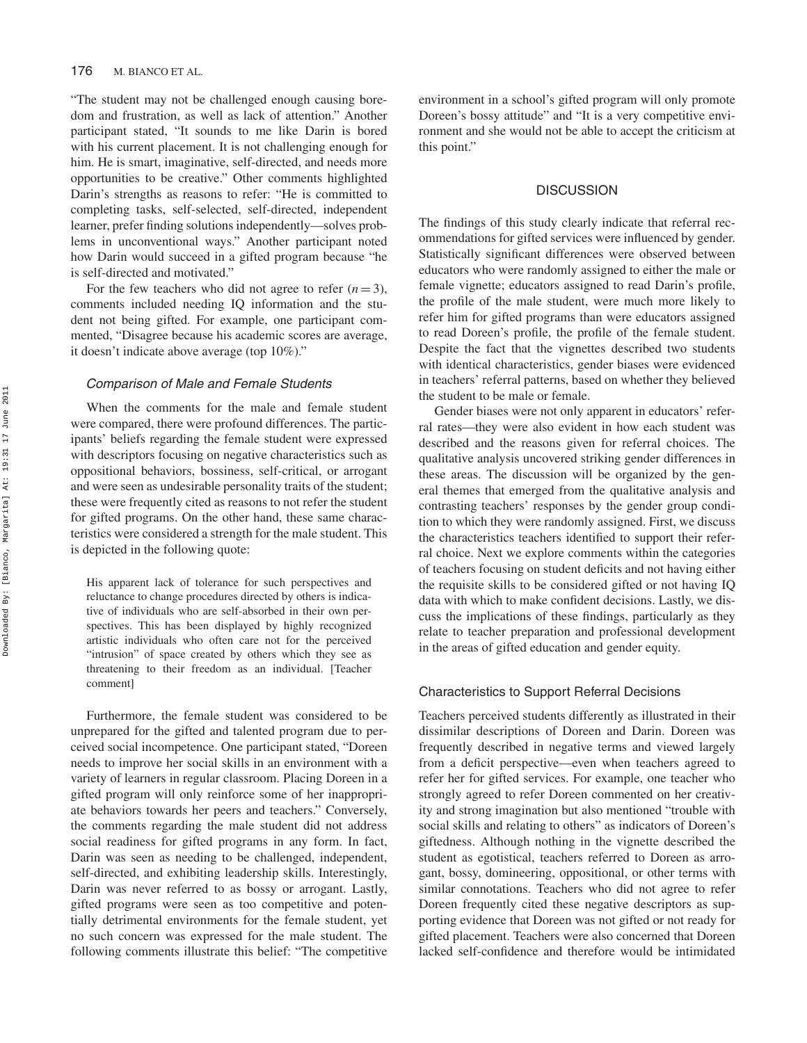"The student may not be challenged enough causing boredom and frustration, as well as lack of attention." Another participant stated, "It sounds to me like Darin is bored with his current placement. It is not challenging enough for him. He is smart, imaginative, self-directed, and needs more opportunities to be creative." Other comments highlighted Darin's strengths as reasons to refer: "He is committed to completing tasks, self-selected, self-directed, independent learner, prefer finding solutions independently—solves problems in unconventional ways." Another participant noted how Darin would succeed in a gifted program because "he is self-directed and motivated."

For the few teachers who did not agree to refer  $(n=3)$ , comments included needing IQ information and the student not being gifted. For example, one participant commented, "Disagree because his academic scores are average, it doesn't indicate above average (top 10%)."

## *Comparison of Male and Female Students*

When the comments for the male and female student were compared, there were profound differences. The participants' beliefs regarding the female student were expressed with descriptors focusing on negative characteristics such as oppositional behaviors, bossiness, self-critical, or arrogant and were seen as undesirable personality traits of the student; these were frequently cited as reasons to not refer the student for gifted programs. On the other hand, these same characteristics were considered a strength for the male student. This is depicted in the following quote:

His apparent lack of tolerance for such perspectives and reluctance to change procedures directed by others is indicative of individuals who are self-absorbed in their own perspectives. This has been displayed by highly recognized artistic individuals who often care not for the perceived "intrusion" of space created by others which they see as threatening to their freedom as an individual. [Teacher comment]

Furthermore, the female student was considered to be unprepared for the gifted and talented program due to perceived social incompetence. One participant stated, "Doreen needs to improve her social skills in an environment with a variety of learners in regular classroom. Placing Doreen in a gifted program will only reinforce some of her inappropriate behaviors towards her peers and teachers." Conversely, the comments regarding the male student did not address social readiness for gifted programs in any form. In fact, Darin was seen as needing to be challenged, independent, self-directed, and exhibiting leadership skills. Interestingly, Darin was never referred to as bossy or arrogant. Lastly, gifted programs were seen as too competitive and potentially detrimental environments for the female student, yet no such concern was expressed for the male student. The following comments illustrate this belief: "The competitive

environment in a school's gifted program will only promote Doreen's bossy attitude" and "It is a very competitive environment and she would not be able to accept the criticism at this point."

## **DISCUSSION**

The findings of this study clearly indicate that referral recommendations for gifted services were influenced by gender. Statistically significant differences were observed between educators who were randomly assigned to either the male or female vignette; educators assigned to read Darin's profile, the profile of the male student, were much more likely to refer him for gifted programs than were educators assigned to read Doreen's profile, the profile of the female student. Despite the fact that the vignettes described two students with identical characteristics, gender biases were evidenced in teachers' referral patterns, based on whether they believed the student to be male or female.

Gender biases were not only apparent in educators' referral rates—they were also evident in how each student was described and the reasons given for referral choices. The qualitative analysis uncovered striking gender differences in these areas. The discussion will be organized by the general themes that emerged from the qualitative analysis and contrasting teachers' responses by the gender group condition to which they were randomly assigned. First, we discuss the characteristics teachers identified to support their referral choice. Next we explore comments within the categories of teachers focusing on student deficits and not having either the requisite skills to be considered gifted or not having IQ data with which to make confident decisions. Lastly, we discuss the implications of these findings, particularly as they relate to teacher preparation and professional development in the areas of gifted education and gender equity.

## Characteristics to Support Referral Decisions

Teachers perceived students differently as illustrated in their dissimilar descriptions of Doreen and Darin. Doreen was frequently described in negative terms and viewed largely from a deficit perspective—even when teachers agreed to refer her for gifted services. For example, one teacher who strongly agreed to refer Doreen commented on her creativity and strong imagination but also mentioned "trouble with social skills and relating to others" as indicators of Doreen's giftedness. Although nothing in the vignette described the student as egotistical, teachers referred to Doreen as arrogant, bossy, domineering, oppositional, or other terms with similar connotations. Teachers who did not agree to refer Doreen frequently cited these negative descriptors as supporting evidence that Doreen was not gifted or not ready for gifted placement. Teachers were also concerned that Doreen lacked self-confidence and therefore would be intimidated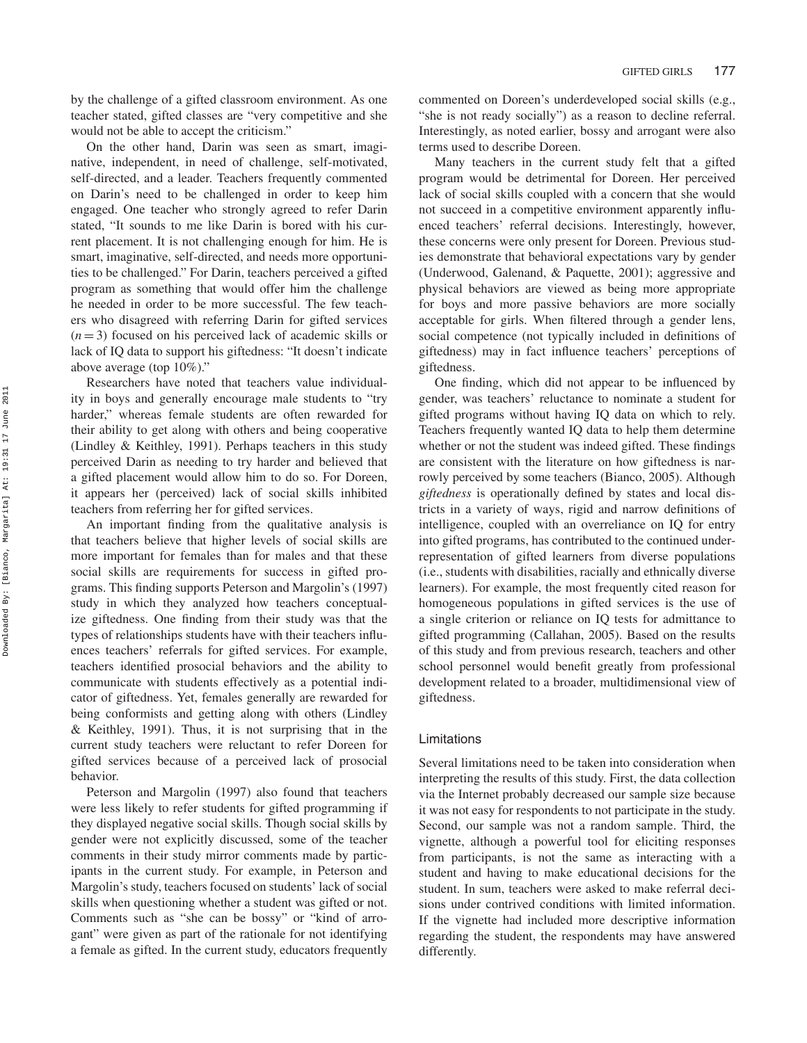by the challenge of a gifted classroom environment. As one teacher stated, gifted classes are "very competitive and she would not be able to accept the criticism."

On the other hand, Darin was seen as smart, imaginative, independent, in need of challenge, self-motivated, self-directed, and a leader. Teachers frequently commented on Darin's need to be challenged in order to keep him engaged. One teacher who strongly agreed to refer Darin stated, "It sounds to me like Darin is bored with his current placement. It is not challenging enough for him. He is smart, imaginative, self-directed, and needs more opportunities to be challenged." For Darin, teachers perceived a gifted program as something that would offer him the challenge he needed in order to be more successful. The few teachers who disagreed with referring Darin for gifted services  $(n=3)$  focused on his perceived lack of academic skills or lack of IQ data to support his giftedness: "It doesn't indicate above average (top 10%)."

Researchers have noted that teachers value individuality in boys and generally encourage male students to "try harder," whereas female students are often rewarded for their ability to get along with others and being cooperative (Lindley & Keithley, 1991). Perhaps teachers in this study perceived Darin as needing to try harder and believed that a gifted placement would allow him to do so. For Doreen, it appears her (perceived) lack of social skills inhibited teachers from referring her for gifted services.

An important finding from the qualitative analysis is that teachers believe that higher levels of social skills are more important for females than for males and that these social skills are requirements for success in gifted programs. This finding supports Peterson and Margolin's (1997) study in which they analyzed how teachers conceptualize giftedness. One finding from their study was that the types of relationships students have with their teachers influences teachers' referrals for gifted services. For example, teachers identified prosocial behaviors and the ability to communicate with students effectively as a potential indicator of giftedness. Yet, females generally are rewarded for being conformists and getting along with others (Lindley & Keithley, 1991). Thus, it is not surprising that in the current study teachers were reluctant to refer Doreen for gifted services because of a perceived lack of prosocial behavior.

Peterson and Margolin (1997) also found that teachers were less likely to refer students for gifted programming if they displayed negative social skills. Though social skills by gender were not explicitly discussed, some of the teacher comments in their study mirror comments made by participants in the current study. For example, in Peterson and Margolin's study, teachers focused on students' lack of social skills when questioning whether a student was gifted or not. Comments such as "she can be bossy" or "kind of arrogant" were given as part of the rationale for not identifying a female as gifted. In the current study, educators frequently

commented on Doreen's underdeveloped social skills (e.g., "she is not ready socially") as a reason to decline referral. Interestingly, as noted earlier, bossy and arrogant were also terms used to describe Doreen.

Many teachers in the current study felt that a gifted program would be detrimental for Doreen. Her perceived lack of social skills coupled with a concern that she would not succeed in a competitive environment apparently influenced teachers' referral decisions. Interestingly, however, these concerns were only present for Doreen. Previous studies demonstrate that behavioral expectations vary by gender (Underwood, Galenand, & Paquette, 2001); aggressive and physical behaviors are viewed as being more appropriate for boys and more passive behaviors are more socially acceptable for girls. When filtered through a gender lens, social competence (not typically included in definitions of giftedness) may in fact influence teachers' perceptions of giftedness.

One finding, which did not appear to be influenced by gender, was teachers' reluctance to nominate a student for gifted programs without having IQ data on which to rely. Teachers frequently wanted IQ data to help them determine whether or not the student was indeed gifted. These findings are consistent with the literature on how giftedness is narrowly perceived by some teachers (Bianco, 2005). Although *giftedness* is operationally defined by states and local districts in a variety of ways, rigid and narrow definitions of intelligence, coupled with an overreliance on IQ for entry into gifted programs, has contributed to the continued underrepresentation of gifted learners from diverse populations (i.e., students with disabilities, racially and ethnically diverse learners). For example, the most frequently cited reason for homogeneous populations in gifted services is the use of a single criterion or reliance on IQ tests for admittance to gifted programming (Callahan, 2005). Based on the results of this study and from previous research, teachers and other school personnel would benefit greatly from professional development related to a broader, multidimensional view of giftedness.

#### Limitations

Several limitations need to be taken into consideration when interpreting the results of this study. First, the data collection via the Internet probably decreased our sample size because it was not easy for respondents to not participate in the study. Second, our sample was not a random sample. Third, the vignette, although a powerful tool for eliciting responses from participants, is not the same as interacting with a student and having to make educational decisions for the student. In sum, teachers were asked to make referral decisions under contrived conditions with limited information. If the vignette had included more descriptive information regarding the student, the respondents may have answered differently.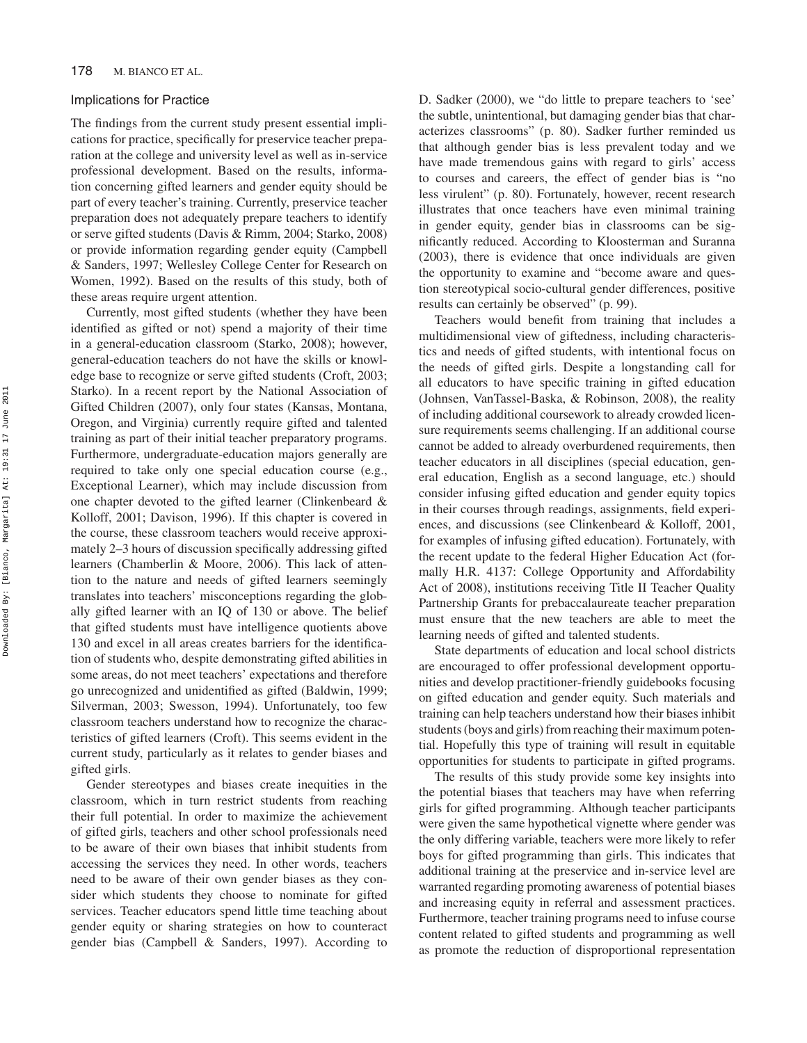#### Implications for Practice

The findings from the current study present essential implications for practice, specifically for preservice teacher preparation at the college and university level as well as in-service professional development. Based on the results, information concerning gifted learners and gender equity should be part of every teacher's training. Currently, preservice teacher preparation does not adequately prepare teachers to identify or serve gifted students (Davis & Rimm, 2004; Starko, 2008) or provide information regarding gender equity (Campbell & Sanders, 1997; Wellesley College Center for Research on Women, 1992). Based on the results of this study, both of these areas require urgent attention.

Currently, most gifted students (whether they have been identified as gifted or not) spend a majority of their time in a general-education classroom (Starko, 2008); however, general-education teachers do not have the skills or knowledge base to recognize or serve gifted students (Croft, 2003; Starko). In a recent report by the National Association of Gifted Children (2007), only four states (Kansas, Montana, Oregon, and Virginia) currently require gifted and talented training as part of their initial teacher preparatory programs. Furthermore, undergraduate-education majors generally are required to take only one special education course (e.g., Exceptional Learner), which may include discussion from one chapter devoted to the gifted learner (Clinkenbeard & Kolloff, 2001; Davison, 1996). If this chapter is covered in the course, these classroom teachers would receive approximately 2–3 hours of discussion specifically addressing gifted learners (Chamberlin & Moore, 2006). This lack of attention to the nature and needs of gifted learners seemingly translates into teachers' misconceptions regarding the globally gifted learner with an IQ of 130 or above. The belief that gifted students must have intelligence quotients above 130 and excel in all areas creates barriers for the identification of students who, despite demonstrating gifted abilities in some areas, do not meet teachers' expectations and therefore go unrecognized and unidentified as gifted (Baldwin, 1999; Silverman, 2003; Swesson, 1994). Unfortunately, too few classroom teachers understand how to recognize the characteristics of gifted learners (Croft). This seems evident in the current study, particularly as it relates to gender biases and gifted girls.

Gender stereotypes and biases create inequities in the classroom, which in turn restrict students from reaching their full potential. In order to maximize the achievement of gifted girls, teachers and other school professionals need to be aware of their own biases that inhibit students from accessing the services they need. In other words, teachers need to be aware of their own gender biases as they consider which students they choose to nominate for gifted services. Teacher educators spend little time teaching about gender equity or sharing strategies on how to counteract gender bias (Campbell & Sanders, 1997). According to D. Sadker (2000), we "do little to prepare teachers to 'see' the subtle, unintentional, but damaging gender bias that characterizes classrooms" (p. 80). Sadker further reminded us that although gender bias is less prevalent today and we have made tremendous gains with regard to girls' access to courses and careers, the effect of gender bias is "no less virulent" (p. 80). Fortunately, however, recent research illustrates that once teachers have even minimal training in gender equity, gender bias in classrooms can be significantly reduced. According to Kloosterman and Suranna (2003), there is evidence that once individuals are given the opportunity to examine and "become aware and question stereotypical socio-cultural gender differences, positive results can certainly be observed" (p. 99).

Teachers would benefit from training that includes a multidimensional view of giftedness, including characteristics and needs of gifted students, with intentional focus on the needs of gifted girls. Despite a longstanding call for all educators to have specific training in gifted education (Johnsen, VanTassel-Baska, & Robinson, 2008), the reality of including additional coursework to already crowded licensure requirements seems challenging. If an additional course cannot be added to already overburdened requirements, then teacher educators in all disciplines (special education, general education, English as a second language, etc.) should consider infusing gifted education and gender equity topics in their courses through readings, assignments, field experiences, and discussions (see Clinkenbeard & Kolloff, 2001, for examples of infusing gifted education). Fortunately, with the recent update to the federal Higher Education Act (formally H.R. 4137: College Opportunity and Affordability Act of 2008), institutions receiving Title II Teacher Quality Partnership Grants for prebaccalaureate teacher preparation must ensure that the new teachers are able to meet the learning needs of gifted and talented students.

State departments of education and local school districts are encouraged to offer professional development opportunities and develop practitioner-friendly guidebooks focusing on gifted education and gender equity. Such materials and training can help teachers understand how their biases inhibit students (boys and girls) from reaching their maximum potential. Hopefully this type of training will result in equitable opportunities for students to participate in gifted programs.

The results of this study provide some key insights into the potential biases that teachers may have when referring girls for gifted programming. Although teacher participants were given the same hypothetical vignette where gender was the only differing variable, teachers were more likely to refer boys for gifted programming than girls. This indicates that additional training at the preservice and in-service level are warranted regarding promoting awareness of potential biases and increasing equity in referral and assessment practices. Furthermore, teacher training programs need to infuse course content related to gifted students and programming as well as promote the reduction of disproportional representation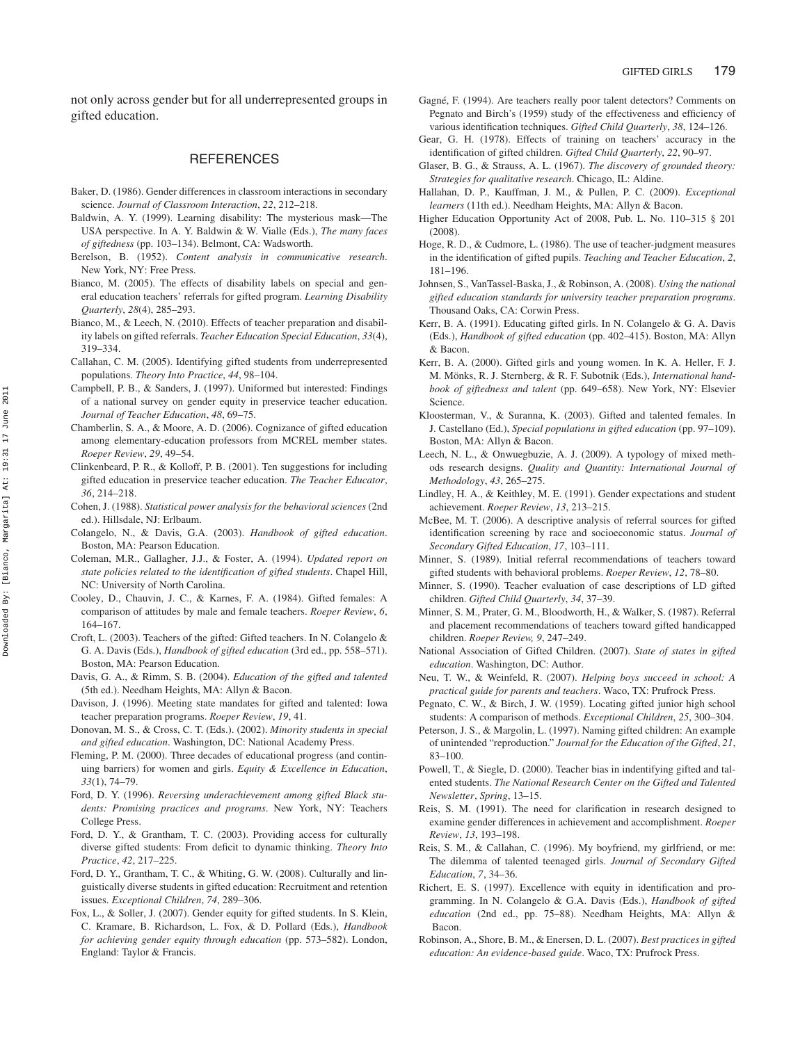not only across gender but for all underrepresented groups in gifted education.

## REFERENCES

- Baker, D. (1986). Gender differences in classroom interactions in secondary science. *Journal of Classroom Interaction*, *22*, 212–218.
- Baldwin, A. Y. (1999). Learning disability: The mysterious mask—The USA perspective. In A. Y. Baldwin & W. Vialle (Eds.), *The many faces of giftedness* (pp. 103–134). Belmont, CA: Wadsworth.
- Berelson, B. (1952). *Content analysis in communicative research*. New York, NY: Free Press.
- Bianco, M. (2005). The effects of disability labels on special and general education teachers' referrals for gifted program. *Learning Disability Quarterly*, *28*(4), 285–293.
- Bianco, M., & Leech, N. (2010). Effects of teacher preparation and disability labels on gifted referrals. *Teacher Education Special Education*, *33*(4), 319–334.
- Callahan, C. M. (2005). Identifying gifted students from underrepresented populations. *Theory Into Practice*, *44*, 98–104.
- Campbell, P. B., & Sanders, J. (1997). Uniformed but interested: Findings of a national survey on gender equity in preservice teacher education. *Journal of Teacher Education*, *48*, 69–75.
- Chamberlin, S. A., & Moore, A. D. (2006). Cognizance of gifted education among elementary-education professors from MCREL member states. *Roeper Review*, *29*, 49–54.
- Clinkenbeard, P. R., & Kolloff, P. B. (2001). Ten suggestions for including gifted education in preservice teacher education. *The Teacher Educator*, *36*, 214–218.
- Cohen, J. (1988). *Statistical power analysis for the behavioral sciences* (2nd ed.). Hillsdale, NJ: Erlbaum.
- Colangelo, N., & Davis, G.A. (2003). *Handbook of gifted education*. Boston, MA: Pearson Education.
- Coleman, M.R., Gallagher, J.J., & Foster, A. (1994). *Updated report on state policies related to the identification of gifted students*. Chapel Hill, NC: University of North Carolina.
- Cooley, D., Chauvin, J. C., & Karnes, F. A. (1984). Gifted females: A comparison of attitudes by male and female teachers. *Roeper Review*, *6*, 164–167.
- Croft, L. (2003). Teachers of the gifted: Gifted teachers. In N. Colangelo & G. A. Davis (Eds.), *Handbook of gifted education* (3rd ed., pp. 558–571). Boston, MA: Pearson Education.
- Davis, G. A., & Rimm, S. B. (2004). *Education of the gifted and talented* (5th ed.). Needham Heights, MA: Allyn & Bacon.
- Davison, J. (1996). Meeting state mandates for gifted and talented: Iowa teacher preparation programs. *Roeper Review*, *19*, 41.
- Donovan, M. S., & Cross, C. T. (Eds.). (2002). *Minority students in special and gifted education*. Washington, DC: National Academy Press.
- Fleming, P. M. (2000). Three decades of educational progress (and continuing barriers) for women and girls. *Equity & Excellence in Education*, *33*(1), 74–79.
- Ford, D. Y. (1996). *Reversing underachievement among gifted Black students: Promising practices and programs*. New York, NY: Teachers College Press.
- Ford, D. Y., & Grantham, T. C. (2003). Providing access for culturally diverse gifted students: From deficit to dynamic thinking. *Theory Into Practice*, *42*, 217–225.
- Ford, D. Y., Grantham, T. C., & Whiting, G. W. (2008). Culturally and linguistically diverse students in gifted education: Recruitment and retention issues. *Exceptional Children*, *74*, 289–306.
- Fox, L., & Soller, J. (2007). Gender equity for gifted students. In S. Klein, C. Kramare, B. Richardson, L. Fox, & D. Pollard (Eds.), *Handbook for achieving gender equity through education* (pp. 573–582). London, England: Taylor & Francis.
- Gagné, F. (1994). Are teachers really poor talent detectors? Comments on Pegnato and Birch's (1959) study of the effectiveness and efficiency of various identification techniques. *Gifted Child Quarterly*, *38*, 124–126.
- Gear, G. H. (1978). Effects of training on teachers' accuracy in the identification of gifted children. *Gifted Child Quarterly*, *22*, 90–97.
- Glaser, B. G., & Strauss, A. L. (1967). *The discovery of grounded theory: Strategies for qualitative research*. Chicago, IL: Aldine.
- Hallahan, D. P., Kauffman, J. M., & Pullen, P. C. (2009). *Exceptional learners* (11th ed.). Needham Heights, MA: Allyn & Bacon.
- Higher Education Opportunity Act of 2008, Pub. L. No. 110–315 § 201 (2008).
- Hoge, R. D., & Cudmore, L. (1986). The use of teacher-judgment measures in the identification of gifted pupils. *Teaching and Teacher Education*, *2*, 181–196.
- Johnsen, S., VanTassel-Baska, J., & Robinson, A. (2008). *Using the national gifted education standards for university teacher preparation programs*. Thousand Oaks, CA: Corwin Press.
- Kerr, B. A. (1991). Educating gifted girls. In N. Colangelo & G. A. Davis (Eds.), *Handbook of gifted education* (pp. 402–415). Boston, MA: Allyn & Bacon.
- Kerr, B. A. (2000). Gifted girls and young women. In K. A. Heller, F. J. M. Mönks, R. J. Sternberg, & R. F. Subotnik (Eds.), *International handbook of giftedness and talent* (pp. 649–658). New York, NY: Elsevier Science.
- Kloosterman, V., & Suranna, K. (2003). Gifted and talented females. In J. Castellano (Ed.), *Special populations in gifted education* (pp. 97–109). Boston, MA: Allyn & Bacon.
- Leech, N. L., & Onwuegbuzie, A. J. (2009). A typology of mixed methods research designs. *Quality and Quantity: International Journal of Methodology*, *43*, 265–275.
- Lindley, H. A., & Keithley, M. E. (1991). Gender expectations and student achievement. *Roeper Review*, *13*, 213–215.
- McBee, M. T. (2006). A descriptive analysis of referral sources for gifted identification screening by race and socioeconomic status. *Journal of Secondary Gifted Education*, *17*, 103–111.
- Minner, S. (1989). Initial referral recommendations of teachers toward gifted students with behavioral problems. *Roeper Review*, *12*, 78–80.
- Minner, S. (1990). Teacher evaluation of case descriptions of LD gifted children. *Gifted Child Quarterly*, *34*, 37–39.
- Minner, S. M., Prater, G. M., Bloodworth, H., & Walker, S. (1987). Referral and placement recommendations of teachers toward gifted handicapped children. *Roeper Review, 9*, 247–249.
- National Association of Gifted Children. (2007). *State of states in gifted education*. Washington, DC: Author.
- Neu, T. W., & Weinfeld, R. (2007). *Helping boys succeed in school: A practical guide for parents and teachers*. Waco, TX: Prufrock Press.
- Pegnato, C. W., & Birch, J. W. (1959). Locating gifted junior high school students: A comparison of methods. *Exceptional Children*, *25*, 300–304.
- Peterson, J. S., & Margolin, L. (1997). Naming gifted children: An example of unintended "reproduction." *Journal for the Education of the Gifted*, *21*, 83–100.
- Powell, T., & Siegle, D. (2000). Teacher bias in indentifying gifted and talented students. *The National Research Center on the Gifted and Talented Newsletter*, *Spring*, 13–15.
- Reis, S. M. (1991). The need for clarification in research designed to examine gender differences in achievement and accomplishment. *Roeper Review*, *13*, 193–198.
- Reis, S. M., & Callahan, C. (1996). My boyfriend, my girlfriend, or me: The dilemma of talented teenaged girls. *Journal of Secondary Gifted Education*, *7*, 34–36.
- Richert, E. S. (1997). Excellence with equity in identification and programming. In N. Colangelo & G.A. Davis (Eds.), *Handbook of gifted education* (2nd ed., pp. 75–88). Needham Heights, MA: Allyn & Bacon.
- Robinson, A., Shore, B. M., & Enersen, D. L. (2007). *Best practices in gifted education: An evidence-based guide*. Waco, TX: Prufrock Press.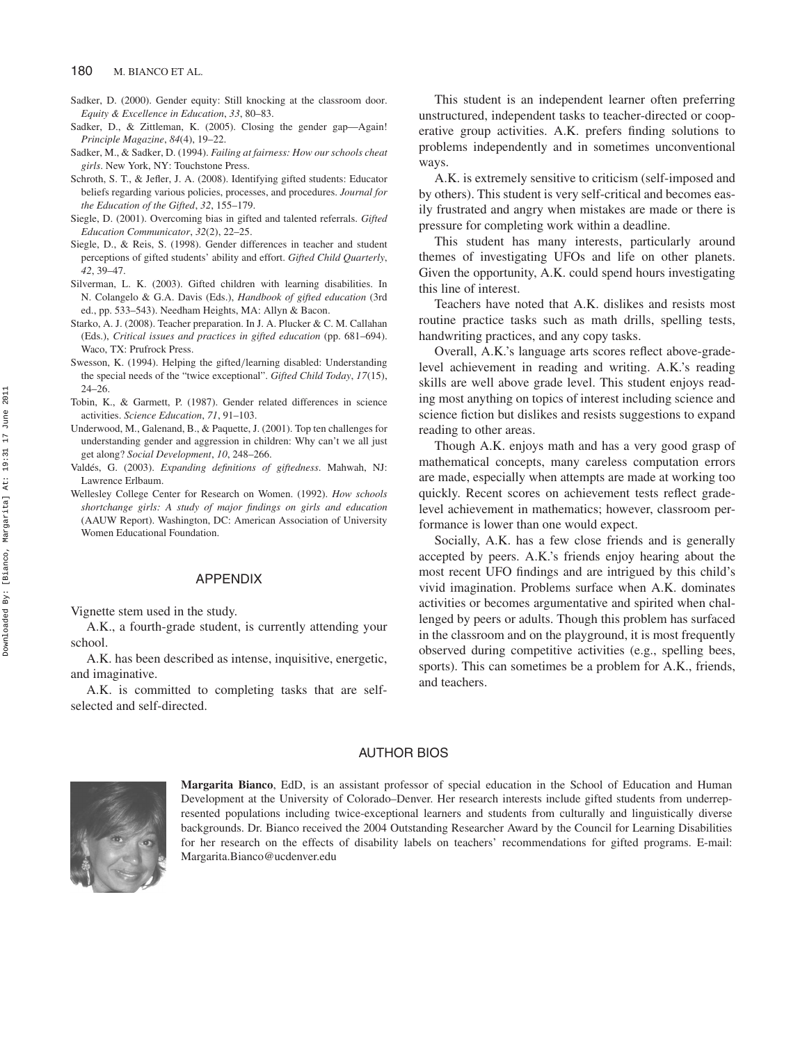#### 180 M. BIANCO ET AL.

- Sadker, D. (2000). Gender equity: Still knocking at the classroom door. *Equity & Excellence in Education*, *33*, 80–83.
- Sadker, D., & Zittleman, K. (2005). Closing the gender gap—Again! *Principle Magazine*, *84*(4), 19–22.
- Sadker, M., & Sadker, D. (1994). *Failing at fairness: How our schools cheat girls*. New York, NY: Touchstone Press.
- Schroth, S. T., & Jefler, J. A. (2008). Identifying gifted students: Educator beliefs regarding various policies, processes, and procedures. *Journal for the Education of the Gifted*, *32*, 155–179.
- Siegle, D. (2001). Overcoming bias in gifted and talented referrals. *Gifted Education Communicator*, *32*(2), 22–25.
- Siegle, D., & Reis, S. (1998). Gender differences in teacher and student perceptions of gifted students' ability and effort. *Gifted Child Quarterly*, *42*, 39–47.
- Silverman, L. K. (2003). Gifted children with learning disabilities. In N. Colangelo & G.A. Davis (Eds.), *Handbook of gifted education* (3rd ed., pp. 533–543). Needham Heights, MA: Allyn & Bacon.
- Starko, A. J. (2008). Teacher preparation. In J. A. Plucker & C. M. Callahan (Eds.), *Critical issues and practices in gifted education* (pp. 681–694). Waco, TX: Prufrock Press.
- Swesson, K. (1994). Helping the gifted*/*learning disabled: Understanding the special needs of the "twice exceptional". *Gifted Child Today*, *17*(15), 24–26.
- Tobin, K., & Garmett, P. (1987). Gender related differences in science activities. *Science Education*, *71*, 91–103.
- Underwood, M., Galenand, B., & Paquette, J. (2001). Top ten challenges for understanding gender and aggression in children: Why can't we all just get along? *Social Development*, *10*, 248–266.
- Valdés, G. (2003). *Expanding definitions of giftedness*. Mahwah, NJ: Lawrence Erlbaum.
- Wellesley College Center for Research on Women. (1992). *How schools shortchange girls: A study of major findings on girls and education* (AAUW Report). Washington, DC: American Association of University Women Educational Foundation.

## APPENDIX

Vignette stem used in the study.

A.K., a fourth-grade student, is currently attending your school.

A.K. has been described as intense, inquisitive, energetic, and imaginative.

A.K. is committed to completing tasks that are selfselected and self-directed.

This student is an independent learner often preferring unstructured, independent tasks to teacher-directed or cooperative group activities. A.K. prefers finding solutions to problems independently and in sometimes unconventional ways.

A.K. is extremely sensitive to criticism (self-imposed and by others). This student is very self-critical and becomes easily frustrated and angry when mistakes are made or there is pressure for completing work within a deadline.

This student has many interests, particularly around themes of investigating UFOs and life on other planets. Given the opportunity, A.K. could spend hours investigating this line of interest.

Teachers have noted that A.K. dislikes and resists most routine practice tasks such as math drills, spelling tests, handwriting practices, and any copy tasks.

Overall, A.K.'s language arts scores reflect above-gradelevel achievement in reading and writing. A.K.'s reading skills are well above grade level. This student enjoys reading most anything on topics of interest including science and science fiction but dislikes and resists suggestions to expand reading to other areas.

Though A.K. enjoys math and has a very good grasp of mathematical concepts, many careless computation errors are made, especially when attempts are made at working too quickly. Recent scores on achievement tests reflect gradelevel achievement in mathematics; however, classroom performance is lower than one would expect.

Socially, A.K. has a few close friends and is generally accepted by peers. A.K.'s friends enjoy hearing about the most recent UFO findings and are intrigued by this child's vivid imagination. Problems surface when A.K. dominates activities or becomes argumentative and spirited when challenged by peers or adults. Though this problem has surfaced in the classroom and on the playground, it is most frequently observed during competitive activities (e.g., spelling bees, sports). This can sometimes be a problem for A.K., friends, and teachers.



AUTHOR BIOS

**Margarita Bianco**, EdD, is an assistant professor of special education in the School of Education and Human Development at the University of Colorado–Denver. Her research interests include gifted students from underrepresented populations including twice-exceptional learners and students from culturally and linguistically diverse backgrounds. Dr. Bianco received the 2004 Outstanding Researcher Award by the Council for Learning Disabilities for her research on the effects of disability labels on teachers' recommendations for gifted programs. E-mail: Margarita.Bianco@ucdenver.edu